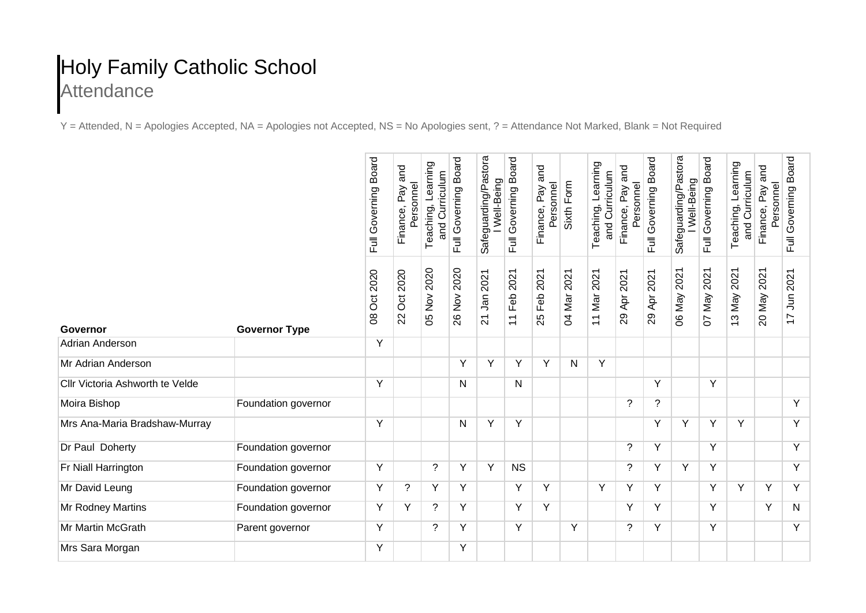## Holy Family Catholic School **Attendance**

Y = Attended, N = Apologies Accepted, NA = Apologies not Accepted, NS = No Apologies sent, ? = Attendance Not Marked, Blank = Not Required

|                                 |                      | <b>Board</b><br>Full Governing | and<br>Personnel<br>Pay<br>Finance | Teaching, Learning<br>and Curriculum | Full Governing Board | Safeguarding/Pastora<br>Well-Being | Full Governing Board                     | and<br>Personnel<br>Finance, Pay | Sixth Form     | Teaching, Learning<br>and Curriculum | and<br>Personnel<br>Finance, Pay | Full Governing Board | Safeguarding/Pastora<br>Well-Being | <b>Board</b><br>Full Governing | Teaching, Learning<br>and Curriculum | and<br>Personnel<br>Pay<br>Finance, | Full Governing Board                  |
|---------------------------------|----------------------|--------------------------------|------------------------------------|--------------------------------------|----------------------|------------------------------------|------------------------------------------|----------------------------------|----------------|--------------------------------------|----------------------------------|----------------------|------------------------------------|--------------------------------|--------------------------------------|-------------------------------------|---------------------------------------|
| Governor                        | <b>Governor Type</b> | 2020<br>Ö<br>$\infty$          | 2020<br>Ö<br>22                    | 2020<br>05 Nov:                      | 2020<br>26 Nov :     | 2021<br>Jan<br>$\overline{21}$     | 2021<br>Feb<br>$\overline{\overline{1}}$ | 2021<br>Feb<br>25                | 2021<br>04 Mar | 2021<br>11 Mar                       | 2021<br>Apr<br>29                | 2021<br>Apr.<br>29   | 2021<br>O6 May                     | 2021<br>Vay<br>5               | 2021<br>13 May                       | 2021<br>20 May                      | 2021<br>$\tilde{=}$<br>$\overline{1}$ |
| <b>Adrian Anderson</b>          |                      | Y                              |                                    |                                      |                      |                                    |                                          |                                  |                |                                      |                                  |                      |                                    |                                |                                      |                                     |                                       |
| Mr Adrian Anderson              |                      |                                |                                    |                                      | Y                    | Y                                  | Y                                        | Y                                | N              | Y                                    |                                  |                      |                                    |                                |                                      |                                     |                                       |
| Cllr Victoria Ashworth te Velde |                      | Y                              |                                    |                                      | N                    |                                    | N                                        |                                  |                |                                      |                                  | Y                    |                                    | Y                              |                                      |                                     |                                       |
| Moira Bishop                    | Foundation governor  |                                |                                    |                                      |                      |                                    |                                          |                                  |                |                                      | ?                                | ?                    |                                    |                                |                                      |                                     | Y                                     |
| Mrs Ana-Maria Bradshaw-Murray   |                      | Y                              |                                    |                                      | N                    | Y                                  | Y                                        |                                  |                |                                      |                                  | Y                    | Y                                  | Υ                              | Y                                    |                                     | Y                                     |
| Dr Paul Doherty                 | Foundation governor  |                                |                                    |                                      |                      |                                    |                                          |                                  |                |                                      | ?                                | Y                    |                                    | Y                              |                                      |                                     | Y                                     |
| Fr Niall Harrington             | Foundation governor  | Y                              |                                    | ?                                    | Y                    | Y                                  | <b>NS</b>                                |                                  |                |                                      | $\tilde{?}$                      | Y                    | Y                                  | Υ                              |                                      |                                     | Y                                     |
| Mr David Leung                  | Foundation governor  | Υ                              | $\tilde{?}$                        | Y                                    | Y                    |                                    | Y                                        | Y                                |                | Y                                    | Υ                                | Y                    |                                    | Y                              | Y                                    | Υ                                   | Y                                     |
| Mr Rodney Martins               | Foundation governor  | Y                              | Y                                  | ?                                    | Y                    |                                    | Y                                        | Y                                |                |                                      | Y                                | Y                    |                                    | Y                              |                                      | Y                                   | N                                     |
| Mr Martin McGrath               | Parent governor      | Y                              |                                    | ?                                    | Y                    |                                    | Y                                        |                                  | Y              |                                      | ?                                | Y                    |                                    | Y                              |                                      |                                     | Y                                     |
| Mrs Sara Morgan                 |                      | Υ                              |                                    |                                      | Y                    |                                    |                                          |                                  |                |                                      |                                  |                      |                                    |                                |                                      |                                     |                                       |